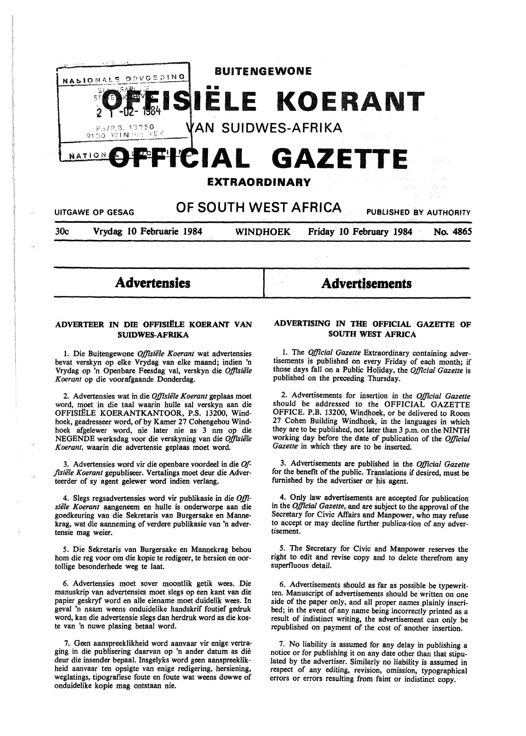

**Advertensies** 

**AdvertJsements** 

## **ADVERTEER IN DIE OFFISIËLE KOERANT VAN SUIDWES-AFRIKA**

1. Die Buitengewone *Offisiele Koerant* wat advertensies bevat verskyn op elke Vrydag van elke maand; indien 'n Vrydag op 'n Openbare Feesdag val, verskyn die *Offisiele Koerant* op die voorafgaande Donderdag.

2. Advertensies wat in die *Offisiele Koerant* geplaas moet word, moet in die taal waarin hulle sal verskyn aan die OFFISIËLE KOERANTKANTOOR, P.S. 13200, Windhoek, geadresseer word, of by Kamer 27 Cohengebou Windhoek afgelewer word, nie later nie as 3 nm op die NEGENDE werksdag voor die verskyning van die *Offisiele Koerant,* waarin die advertensie geplaas moet word.

3. Advertensies word vir die openbare voordeel in die *0/ ftsiele Koerant* gepubliseer. Vertalings moet deur die Adverteerder of sy agent gelewer word indien verlang.

4. Slegs regsadvertensies word vir publikasie in die *Offisiele Koerant* aangeneem en hulle is onderworpe aan die goedkeuring van die Sekretaris van Burgersake en Mannekrag, wat die aanneming of verdere publikasie van 'n advertensie mag weier.

*5.* Die Sekretaris van Burgersake en Mannekrag behou horn die reg voor om die kopie te redigeer, te hersien en oortollige besonderhede weg te laat.

6. Advertensies moet sover moontlik getik wees. Die manuskrip van advertensies moet slegs op een kant van die papier geskryf word en alle eiename moet duidelik wees. In geval 'n naam weens onduidelike handskrif foutief gedruk word, kan die advertensie slegs dan herdruk word as die koste van 'n nuwe plasing betaal word.

7. Geen aanspreeklikheid word aanvaar vir enige vertraging in die publisering daarvan op 'n ander datum as die deur die insender bepaal. Insgelyks word geen aanspreeklikheid aanvaar ten opsigte van enige redigering, hersiening, weglatings, tipografiese foute en foute wat weens dowwe of onduidelike kopie mag ontstaan nie.

## **ADVERTISING IN THE OFFICIAL GAZETTE OF SOUTH WEST AFRICA**

1. The *Official Gazette* Extraordinary containing advertisements is published on every Friday of each month; if those days fall on a Public Holiday, the *Official Gazette* is published on the preceding Thursday.

2. Advertisements for insertion in the *Official Gazette*  should be addressed to the OFFICIAL GAZETTE OFFICE. P.B. 13200, Windhoek, or be delivered to Room 27 Cohen Building Windhoek, in the languages in which they are to be published, not later than 3 p.m. on the NINTH working day before the date of publication of the *Official Gazette* in which they are to be inserted.

3. Advertisements are published in the *Official Gazette*  for the benefit of the public. Translations if desired, must be furnished by the advertiser or his agent.

4. Only law advertisements are accepted for publication in the *Official Gazette,* and are subject to the approval of the Secretary for Civic Affairs and Manpower, who may refuse to accept or may decline further publica-tion of any advertisement.

*5.* The Secretary for Civic and Manpower reserves the right to edit and revise copy and to delete therefrom any superfluous detail.

6. Advertisements should as far as possible be typewritten. Manuscript of advertisements should be written on one side of the paper only, and all proper names plainly inscribed; in the event of any name being incorrectly printed as a result of indistinct writing, the advertisement can only be republished on payment of the cost of another insertion.

7. No liability is assumed for any delay in publishing a notice or for publishing it on any date other than that stipulated by the advertiser. Similarly no liability is assumed in respect of any editing, revision, omission, typographical errors or errors resulting from faint or indistinct copy.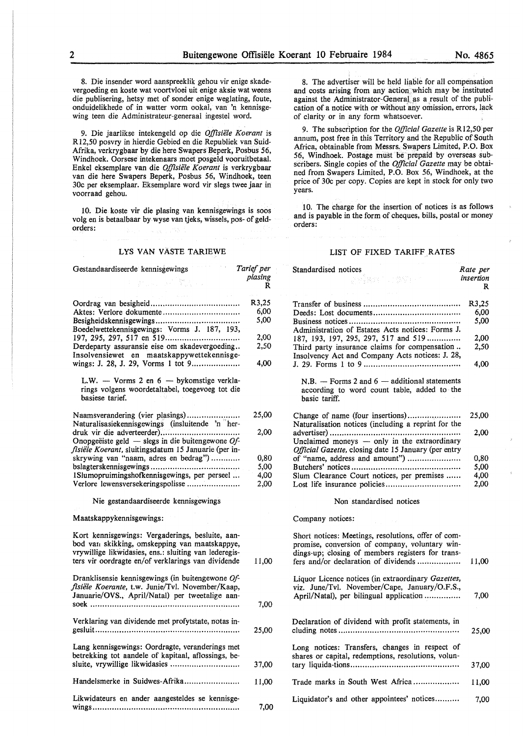8. Die insender word aanspreeklik gehou vir enige skadevergoeding en koste wat voortvloei uit enige aksie wat weens die publisering, hetsy met of sonder enige weglating, foute, onduidelikhede of in watter vorm ookal, van 'n kennisgewing teen die Administrateur-generaal ingestel word.

9. Die jaarlikse intekengeld op die *Offisiele Koerant* is R12,50 posvry in hierdie Gebied en die Republiek van Suid-Afrika, verkrygbaar by die here Swapers Beperk, Posbus 56, Windhoek. Oorsese intekenaars moet posgeld vooruitbetaal. Enke! eksemplare van die *Offisiiile Koerant* is verkrygbaar van die here Swapers Beperk, Posbus 56, Windhoek, teen 30c per eksemplaar. Eksemplare word vir slegs twee jaar in voorraad gehou.

10. Die koste vir die plasing van kennisgewings is soos volg en is betaalbaar by wyse van tjeks, wissels, pos- of geldorders:

### LYS VAN VÄSTE TARIEWE

8. The advertiser will be held liable for all compensation and costs arising from any action which may be instituted against the Administrator-General as a result of the publication of a notice with or without any omission, errors, lack of clarity or in any form whatsoever.

9. The subscription for the *Official Gazette* is R12,50 per annum, post free in this Territory and the Republic of South Africa, obtainable from Messrs. Swapers Limited, P.O. Box 56, Windhoek. Postage must be prepaid by overseas subscribers. Single copies of the *Official Gazette* may be obtained from Swapers Limited, P.O. Box 56, Windhoek, at the price of 30c per copy. Copies are kept in stock for only two years.

10. The charge for the insertion of notices is as follows and is payable in the form of cheques, bills, postal or money orders:

### LIST OF FIXED TARIFF RATES

| Gestandaardiseerde kennisgewings                      | Tarief per   | Standardised notices                                 | Rate per           |
|-------------------------------------------------------|--------------|------------------------------------------------------|--------------------|
| おおしん はんすいしん                                           | plasing<br>R | 分解的 に換算して                                            | insertion<br>R     |
|                                                       |              | and the company of the state of                      |                    |
|                                                       | R3,25        |                                                      | R <sub>3</sub> ,25 |
| Aktes: Verlore dokumente                              | 6,00         |                                                      | 6,00               |
|                                                       | 5,00         |                                                      | 5,00               |
| Boedelwettekennisgewings: Vorms J. 187, 193,          |              | Administration of Estates Acts notices: Forms J.     |                    |
|                                                       | 2,00         | 187, 193, 197, 295, 297, 517 and 519                 | 2,00               |
| Derdeparty assuransie eise om skadevergoeding         | 2,50         | Third party insurance claims for compensation        | 2,50               |
| Insolvensiewet en maatskappywettekennisge-            |              | Insolvency Act and Company Acts notices: J. 28,      |                    |
| wings: J. 28, J. 29, Vorms 1 tot 9                    | 4,00         |                                                      | 4,00               |
|                                                       |              |                                                      |                    |
| L.W. $-$ Vorms 2 en $6 -$ by komstige verkla-         |              | $N.B.$ — Forms 2 and 6 — additional statements       |                    |
| rings volgens woordetaltabel, toegevoeg tot die       |              | according to word count table, added to the          |                    |
| basiese tarief.                                       |              | basic tariff.                                        |                    |
| Naamsverandering (vier plasings)                      | 25,00        |                                                      | 25,00              |
| Naturalisasiekennisgewings (insluitende 'n her-       |              | Naturalisation notices (including a reprint for the  |                    |
|                                                       | 2,00         |                                                      | 2,00               |
| Onopgeëiste geld — slegs in die buitengewone $Of$ -   |              | Unclaimed moneys $-$ only in the extraordinary       |                    |
| fisiële Koerant, sluitingsdatum 15 Januarie (per in-  |              | Official Gazette, closing date 15 January (per entry |                    |
| skrywing van "naam, adres en bedrag")                 | 0,80         | of "name, address and amount")                       | 0,80               |
|                                                       | 5,00         |                                                      | 5,00               |
| 1Slumopruimingshofkennisgewings, per perseel          | 4,00         | Slum Clearance Court notices, per premises           | 4,00               |
| Verlore lewensversekeringspolisse                     | 2,00         |                                                      | 2,00               |
|                                                       |              |                                                      |                    |
| Nie gestandaardiseerde kennisgewings                  |              | Non standardised notices                             |                    |
| Maatskappykennisgewings:                              |              | Company notices:                                     |                    |
| Kort kennisgewings: Vergaderings, besluite, aan-      |              | Short notices: Meetings, resolutions, offer of com-  |                    |
| bod van skikking, omskepping van maatskappye,         |              | promise, conversion of company, voluntary win-       |                    |
| vrywillige likwidasies, ens.: sluiting van lederegis- |              | dings-up; closing of members registers for trans-    |                    |
| ters vir oordragte en/of verklarings van dividende    |              |                                                      |                    |
|                                                       |              |                                                      |                    |
|                                                       | 11,00        | fers and/or declaration of dividends                 | 11,00              |
|                                                       |              |                                                      |                    |
| Dranklisensie kennisgewings (in buitengewone Of-      |              | Liquor Licence notices (in extraordinary Gazettes,   |                    |
| fisiële Koerante, t.w. Junie/Tvl. November/Kaap,      |              | viz. June/Tvl. November/Cape, January/O.F.S.,        |                    |
| Januarie/OVS., April/Natal) per tweetalige aan-       |              | April/Natal), per bilingual application              | 7,00               |
|                                                       | 7,00         |                                                      |                    |
|                                                       |              |                                                      |                    |
| Verklaring van dividende met profytstate, notas in-   | 25,00        | Declaration of dividend with profit statements, in   |                    |
|                                                       |              |                                                      | 25,00              |
| Lang kennisgewings: Oordragte, veranderings met       |              | Long notices: Transfers, changes in respect of       |                    |
| betrekking tot aandele of kapitaal, aflossings, be-   |              | shares or capital, redemptions, resolutions, volun-  |                    |
|                                                       | 37,00        |                                                      | 37,00              |
|                                                       |              |                                                      |                    |
| Handelsmerke in Suidwes-Afrika                        | 11,00        | Trade marks in South West Africa                     | 11,00              |
|                                                       |              |                                                      |                    |
| Likwidateurs en ander aangesteldes se kennisge-       | 7,00         | Liquidator's and other appointees' notices           | 7,00               |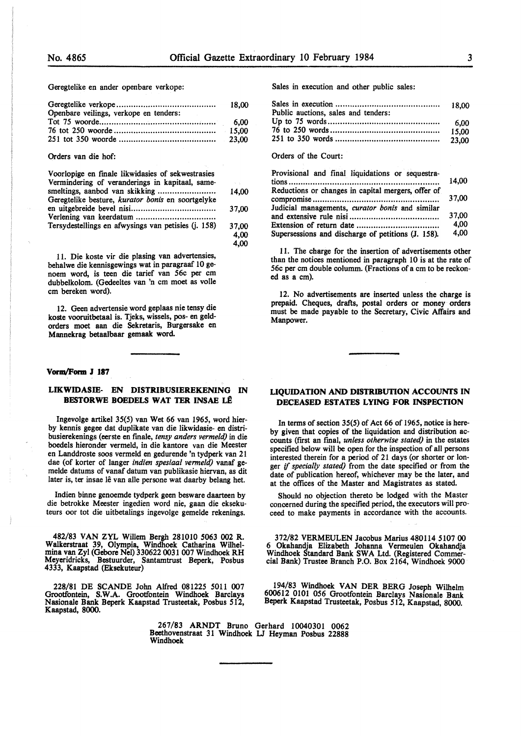**4,00** 

Geregtelike en ander openbare verkope:

| Openbare veilings, verkope en tenders: |  |
|----------------------------------------|--|
|                                        |  |

Orders van die hof:

| Voorlopige en finale likwidasies of sekwestrasies   |                           |
|-----------------------------------------------------|---------------------------|
| Vermindering of veranderings in kapitaal, same-     | $\mathcal{N}=\mathcal{N}$ |
|                                                     | 14.00                     |
| Geregtelike besture, kurator bonis en soortgelyke   |                           |
|                                                     | 37.00                     |
|                                                     |                           |
| Tersydestellings en afwysings van petisies (j. 158) | 37,00                     |
|                                                     | 4.00                      |

11. Die koste vir die plasing van advertensies, behalwe die kennisgewings wat in paragraaf IO genoem word, is teen die tarief van 56c per cm dubbelkolom. (Gedeeltes van 'n cm moet as voile cm bereken word).

12. Geen advertensie word geplaas nie tensy die koste vooruitbetaal is. Tjeks, wissels, pos- en geldorders moet aan die Sekretaris, Burgersake en **Mannekrag betaalbaar gemaak word.** 

#### **Vonn,/Form J 187**

### **LIKWIDASIE- EN DISTRIBUSIEREKENING** IN **BESTORWE BOEDELS WAT TER INSAE LÊ**

Ingevolge artikel 35(5) van Wet 66 van 1965, word bierby kennis **gegee** dat duplikate van die likwidasie- en distribusierekenings (eerste en fmale, *tensy anders vermeld)* in die boedels hieronder vermeld, in die kantore van die Meester en Landdroste soos vermeld en gedurende 'n tydperk van 21 dae (of korter of !anger *indien spesiaal vermeld)* vanaf gemelde datums of vanaf datum van publikasie hiervan, as dit later is, ter insae lê van alle persone wat daarby belang het.

Indien binne genoemde tydperk geen besware daarteen by die betrokke Meester ingedien word nie, gaan die eksekuteurs oor tot die uitbetalings ingevolge gemelde rekenings.

482/83 VANZYL Willem Bergh 281010 5063 002 R. Walkerstraat 39, Olympia, Windhoek Catharina Wilhelmina van Zyl (Gebore Nel) 330622 0031 007 Windhoek RH Meyeridricks, Bestuurder, Santamtrust Beperk, Posbus 4333, Kaapstad (Eksekuteur)

228/81 DE SCANDE John Alfred 081225 5011 007 Grootfontein, **S.W.A.** Grootfontein Windhoek Barclays Nasionale Bank Beperk Kaapstad Trusteetak, Posbus 512, Kaapstad, 8000.

> 267/83 ARNDT Bruno Gerhard 10040301 0062 Beethovenstraat 31 Windhoek LJ Heyman Posbus 22888 Windhoek

Sales in execution and other public sales:

| Public auctions, sales and tenders: |       |
|-------------------------------------|-------|
|                                     |       |
|                                     | 15.00 |
|                                     |       |

#### Orders of the Court:

| Provisional and final liquidations or sequestra-   | 14.00 |
|----------------------------------------------------|-------|
| Reductions or changes in capital mergers, offer of | 37.00 |
| Judicial managements, curator bonis and similar    | 37.00 |
|                                                    | 4,00  |
| Supersessions and discharge of petitions (J. 158). | 4.00  |

11. The charge for the insertion of advertisements other than the notices mentioned in paragraph 10 is at the rate of 56c per cm double columm. (Fractions of a cm to be reckoned as a cm).

12. No advertisements are inserted unless the charge is prepaid. Cheques, drafts, postal orders or money orders must be made payable to the Secretary, Civic Affairs and Manpower.

## **LIQUIDATION AND DISTRIBUTION ACCOUNTS IN DECEASED ESTATES LYING FOR INSPECTION**

In terms of section 35(5) of Act 66 of 1965, notice is hereby given that copies of the liquidation and distribution accounts (frrst an final, *unless otherwise stated)* in the estates specified below will be open for the inspection of all persons interested therein for a period of 21 days (or shorter or longer if *specially stated)* from the date specified or from the date of publication hereof, whichever may be the later, and at the offices of the Master and Magistrates as stated.

Should no objection thereto be lodged with the Master concerned during the specified period, the executors will proceed to make payments in accordance with the accounts.

372/82 VERMEULEN Jacobus Marius 480114 5107 00 6 Okahandja Elizabeth Johanna Vermeulen Okahandja Windhoek Standard Bank SWA Ltd. (Registered Commercial Bank) Trustee Branch P.O. Box 2164, Windhoek 9000

194/83 Windhoek VAN DER BERG Joseph Wilhelm 600612 0101 056 Grootfontein Barclays Nasionale Bank Beperk Kaapstad Trusteetak, Posbus 512, Kaapstad, 8000.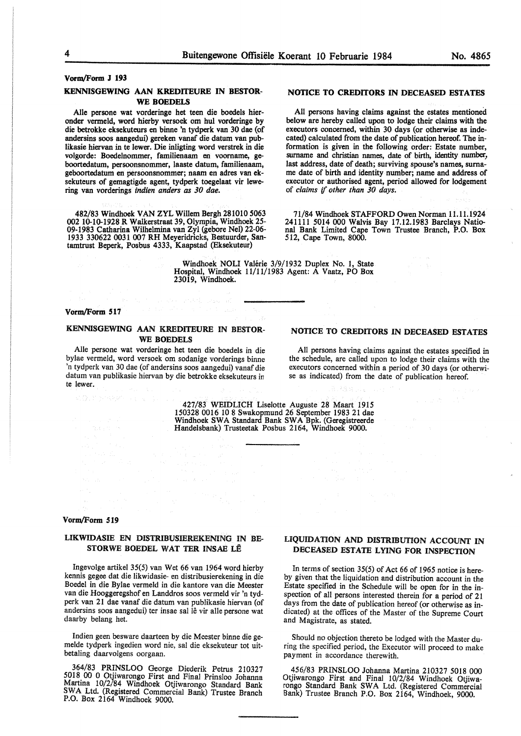# **Vorm/Form J 193**

## **KENNISGEWING AAN KREDITEURE IN BESTOR-WE BOEDELS**

Alie persone wat vorderinge het teen die boedels hieronder vermeld, word hierby versoek om hul vorderinge by die betrokke eksekuteurs en binne 'n tydperk van 30 dae (of andersins soos aangedui) gereken vanaf die datum van publikasie hiervan in te lewer. Die inligting word verstrek in die volgorde: Boedelnommer, familienaam en voomame, geboortedatum, persoonsnommer, laaste datum, familienaam, geboortedatum en persoonsnommer; naam en adres van eksekuteurs of gemagtigde agent, tydperk toegelaat vir lewering van vorderings *indien anders as 30 dae.* 

482/83 Windhoek VAN ZYL Willem Bergh 281010 5063 002 10-10-1928 R Walkerstraat 39, Olympia, Windhoek *25-* 09-1983 Catharina Wilhelmina van Zyl (gebore Nel) 22-06- 1933 330622 0031 007 RH Meyeridricks, Bestuurder, Santamtrust Beperk, Posbus 4333, Kaapstad (Eksekuteur)

## NOTICE TO **CREDITORS** IN DECEASED ESTATES

All persons having claims against the estates mentioned below are hereby called upon to lodge their claims with the executors concerned, within 30 days (or otherwise as indecated) calculated from the date of publication hereof. The information is given in the following order: Estate number, surname and christian names, date of birth, identity number, last address, date of death; surviving spouse's names, surname date of birth and identity number; name and address of executor or authorised agent, period allowed for lodgement of *claims* if *other than 30 days.* 

71/84 Windhoek STAFFORD Owen Norman 11.11.1924 241111 5014 000 Walvis Bay 17.12.1983 Barclays National Bank Limited Cape Town Trustee Branch, P.O. Box 512, Cape Town, 8000.

Windhoek NOLI Valérie 3/9/1932 Duplex No. 1, State Hospital, Windhoek 11/11/1983 Agent: A Vaatz, PO Box 23019, Windhoek.

#### **Vorm/Form 517**

## **KENNISGEWING AAN KREDITEURE IN BESTOR-WE BOEDELS**

Alie persone wat vorderinge het teen die boedels in die bylae vermeld, word versoek om sodanige vorderings binne 'n tydperk van 30 dae (of andersins soos aangedui) vanaf die datum van publikasie hiervan by die betrokke eksekuteurs in te lewer.

#### **NOTICE TO CREDITORS IN DECEASED ESTATES**

All persons having claims against the estates specified in the schedule, are called upon to lodge their claims with the executors concerned within a period of 30 days (or otherwise as indicated) from the date of publication hereof.

427/83 WEIDLICH Liselotte Auguste 28 Maart 1915 150328 0016 10 8 Swakopmund 26 September 1983 21 dae Windhoek SW A Standard Bank **SW A** Bpk. (Geregistreerde Handelsbank) Trusteetak Posbus 2164, Windhoek 9000.

### **Vorm/Form 519**

## LIKWIDASIE EN DISTRIBUSIEREKENING IN BE-STORWE BOEDEL WAT TER INSAE LE

lngevolge artikel 35(5) van Wet 66 van 1964 word hierby kennis gegee dat die likwidasie- en distribusierekening in die Boedel in die Bylae vermeld in die kantore van die Meester van die Hooggeregshof en Landdros soos vermeld vir 'n tydperk van 21 dae vanaf die datum van publikasie hiervan (of andersins soos aangedui) ter insae sal lê vir alle persone wat daarby belang het.

Indien geen besware daarteen by die Meester binne die gemelde tydperk ingedien word nie, sal die eksekuteur tot uitbetaling daarvolgens oorgaan.

364/83 PRINSLOO George Diederik Petrus 210327 5018 00 0 Otjiwarongo First and Final Prinsloo Johanna Martina 10/2/84 Windhoek Otjiwarongo Standard Bank SWA Ltd. (Registered Commercial Bank) Trustee Branch P.O. Box 2164 Windhoek 9000.

## **LIQUIDATION AND DISTRIBUTION ACCOUNT IN DECEASED ESTATE LYING FOR INSPECTION**

In terms of section 35(5) of Act 66 of 1965 notice is hereby given that the liquidation and distribution account in the Estate specified in the Schedule will be open for in the inspection of all persons interested therein for a period of 21 days from the date of publication hereof (or otherwise as indicated) at the offices of the Master of the Supreme Court and Magistrate, as stated.

Should no objection thereto be lodged with the Master during the specified period, the Executor will proceed to make payment in accordance therewith.

456/83 PRINSLOO Johanna Martina 210327 5018 000 Otjiwarongo First and Final 10/2/84 Windhoek Otjiwarongo Standard Bank SWA Ltd. (Registered Commercial Bank) Trustee Branch P.O. Box 2164, Windhoek, 9000.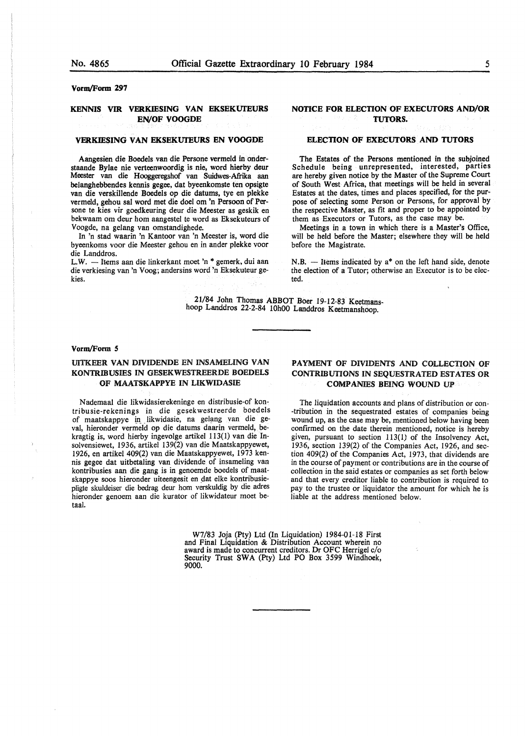**Vorm/Form 297** 

## **KENNIS VIR VERKIESING VAN EKSEKUfEURS EN/OF VOOGDE**

### **VERKIESING VAN EKSEKUfEURS EN VOOGDE**

Aangesien die Boedels van die Persone vermeld in onderstaande Bylae nie verteenwoordig is nie, word hierby deur Meester van die Hooggeregshof van Suidwes-Afrika aan belanghebbendes kennis gegee, dat byeenkomste ten opsigte van die verskillende Boedels op die datums, tye en plekke vermeld, gehou sal word met die doel om 'n Persoon of Persone te kies vir goedkeuring deur die Meester as geskik en bekwaam om deur horn aangestel te word as Eksekuteurs of Voogde, na gelang van omstandighede.

In 'n stad waarin 'n Kantoor van 'n Meester is, word die byeenkoms voor die Meester gehou en in ander plekke voor die Landdros.

L.W.  $-$  Items aan die linkerkant moet 'n  $*$  gemerk, dui aan die verkiesing van 'n Voog; andersins word 'n Eksekuteur gekies.

## **NOTICE FOR ELECTION OF EXECUTORS AND/OR TUTORS.**

### **ELECTION OF EXECUTORS AND TUTORS**

The Estates of the Persons mentioned in the subjoined Schedule being unrepresented, interested, parties are hereby given notice by the Master of the Supreme Court of South West Africa, that meetings will be held in several Estates at the dates, times and places specified, for the purpose of selecting some Person or Persons, for approval by the respective Master, as fit and proper to be appointed by them as Executors or Tutors, as the case may be.

Meetings in a town in which there is a Master's Office, will be held before the Master; elsewhere they will be held before the Magistrate.

 $N.B.$  - Items indicated by  $a^*$  on the left hand side, denote the election of a Tutor; otherwise an Executor is to be elected.

21/84 John Thomas ABBOT Boer 19-12-83 Keetmanshoop Landdros 22-2-84 10h00 Landdros Keetmanshoop.

#### **Vorm/Form** *5*

## **UITKEER VAN DIVIDENDE** EN **INSAMELING VAN KON1RIBUSIES IN GESEKWESTREERDE BOEDELS OF MAATSKAPPYE IN LIKWIDASIE**

Nademaal die likwidasierekeninge en distribusie-of kontribusie-rekenings in die gesekwestreerde boedels of maatskappye in likwidasie, na gelang van die geval, hieronder vermeld op die datums daarin vermeld, bekragtig is, word hierby ingevolge artikel 113(1) van die Insolvensiewet, 1936, artikel 139(2) van die Maatskappyewet, 1926, en artikel 409(2) van die Maatskappyewet, 1973 kennis gegee dat uitbetaling van dividende of insameling van kontribusies aan die gang is in genoemde boedels of maatskappye soos hieronder uiteengesit en dat elke kontribusiepligte skuldeiser die bedrag deur horn verskuldig by die adres hieronder genoem aan die kurator of likwidateur moet betaal.

**PAYMENT OF DIVIDENTS AND COLLECTION OF CONTRIBUTIONS IN SEQUESTRATED ESTATES OR COMPANIES BEING WOUND** UP

The liquidation accounts and plans of distribution or con- -tribution in the sequestrated estates of companies being wound up, as the case may be, mentioned below having been confirmed on the date therein mentioned, notice is hereby given, pursuant to section 113(1) of the Insolvency Act, 1936, section 139(2) of the Companies Act, 1926, and section 409(2) of the Companies Act, 1973, that dividends are in the course of payment or contributions are in the course of collection in the said estates or companies as set forth below and that every creditor liable to contribution is required to pay to the trustee or liquidator the amount for which he is liable at the address mentioned below.

W7/83 Joja (Pty) Ltd (In Liquidation) 1984-01-18 First<br>and Final Liquidation & Distribution Account wherein no award is made to concurrent creditors. Dr OFC Herrigel c/o Security Trust SWA (Pty) Ltd PO Box 3599 Windhoek, 9000.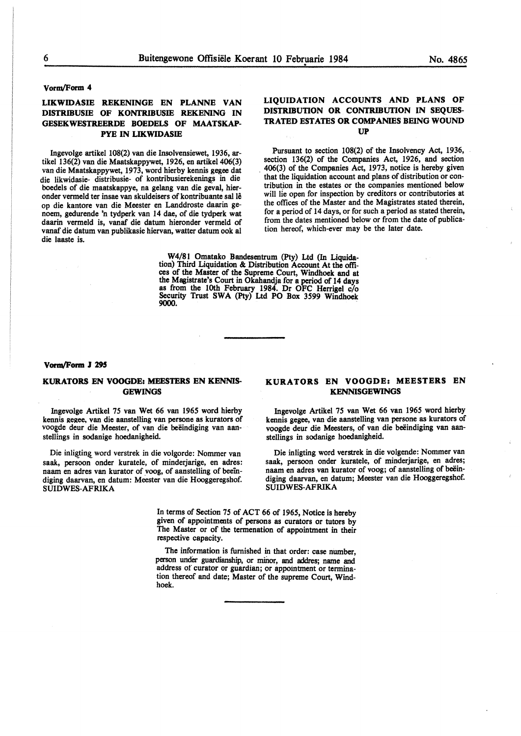"'"

## **Vorrn/Form 4**

## **LIKWIDASIE REKENINGE EN PLANNE VAN DISTRIBUSIE OF KONTRIBUSIE REKENING IN GESEKWESTREERDE BOEDELS OF MAATSKAP-PYE IN LIKWIDASIE**

Ingevolge artikel 108(2) van die Insolvensiewet, 1936, artikel 136(2) van die Maatskappywet, 1926, en artikel 406(3) van die Maatskappywet, 1973, word hierby kennis gegee dat die likwidasie- distribusie- of kontribusierekening\_s in die boedels of die maatskappye, na gelang van die geval, hieronder vermeld ter insae van skuldeisers of kontribuante sal le op die kantore van die Meester en Landdroste daarin senoem, gedurende 'n tydperk van 14 dae, of die tydperk wat daarin vermeld is, vanaf die datum hieronder vermeld of vanaf die datum van publikasie hiervan, watter datum ook al die laaste is.

## **LIQUIDATION ACCOUNTS AND PLANS OF DISTRIBUTION OR CONTRIBUTION IN SEQUES-TRATED ESTATES OR COMPANIES BEING WOUND UP**

Pursuant to section 108(2) of the Insolvency Act, 1936, section 136(2) of the Companies Act, 1926, and section . 406(3) of the Companies Act, 1973, notice is hereby **given**  that the liquidation account and plans of distribution or contribution in the estates or the companies mentioned below will lie open for inspection by creditors or contributories at the offices of the Master and the Magistrates stated therein, for a period of 14 days, or for such a period as stated therein, from the dates mentioned below or from the date of publication hereof, which-ever may be the later date.

**W4/81 Omatako Bandesentrum (Pty)** Ltd (In Liquidation) Third Liquidation & Distribution Account At the offices of the Master of the Supreme Court, Windhoek and at the Magistrate's Court in Okahandja for a period of 14 days as from the 10th February 1984. Dr OFC Herrigel *clo*  Security Trust SWA (Pty) Ltd PO Box 3599 Windhoek 9000.

#### Vorm/Form J 295

## KURATORS EN VOOGDE: MEESTERS EN KENNIS-**GEWINGS**

Ingevolge Artikel 75 van Wet 66 van 1965 word hierby kennis gegee, van die aanstelling van persone as kurators of voogde deur die Meester, of van die beëindiging van aanstellings in sodanige hoedanigheid.

Die inligting word verstrek in die volgorde: Nommer van saak, persoon onder kuratele, of minderjarige, en adres: naam en adres van kurator of voog, of aanstelling of beeindiging daarvan, en datum: Meester van die Hooggeregshof. SUIDWES-AFRIKA

## **KURATORS EN VOOGDE: MEESTERS EN K.ENNISGEWINGS**

Ingevolge Artikel 75 van Wet 66 van 1965 word hierby kennis **gegee,** van die aanstelling van persone as kurators of voogde deur die Meesters, of van die beëindiging van aanstellings in sodanige hoedanigheid.

Die inligting word verstrek in die volgende: Nommer van saak, persoon onder kuratele, of minderjarige, en adres; naam en adres van kurator of voog; of aanstelling of beëindiging daarvan, en datum; Meester van die Hooggeregshof. SUIDWES-AFRIKA

In terms of Section 75 of ACT 66 of 1965, Notice is hereby given of appointments of persons as curators or tutors by The Master or of the termenation of appointment in their respective capacity.

The information is furnished in that order: case number, person under guardianship, or minor, and addres; name and address of curator or guardian; or appointment or termination thereof and date; Master of the supreme Court, Windhoek.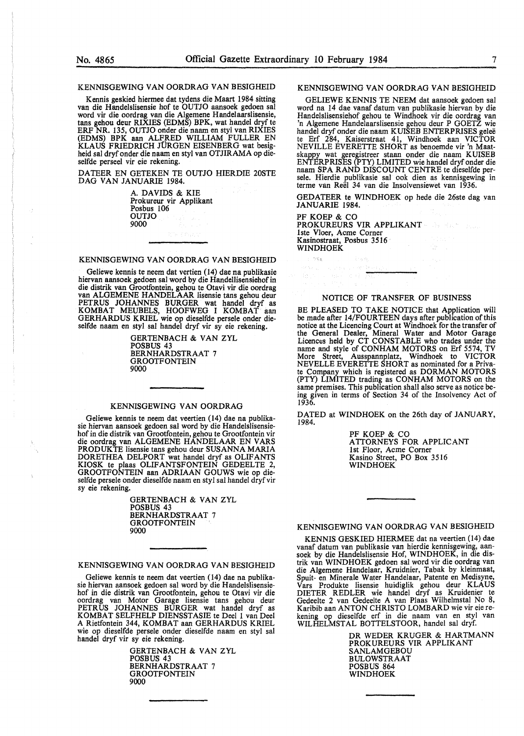#### KENNISGEWING VAN OORDRAG VAN BESIGHEID

Kennis geskied hiermee dat tydens die Maart 1984 sitting van die Handelslisensie hof te OUTJO aansoek gedoen sal word vir die oordrag van die Algemene Handelaarslisensie, tans gehou deur RIXIES (EDMS) BPK, wat handel dryf te ERP NR. 135, OUTJO onder die naam en sty! van RIXIES (EDMS) BPK aan ALFRED WILLIAM FULLER EN KLAUS FRIEDRICH JORGEN EISENBERG wat besigheid sal dryf onder die naam en sty! van OTJIRAMA op dieselfde perseel vir eie rekening.

DATEER EN GETEKEN TE OUTJO HIERDIE 20STE DAG VAN JANUARIE 1984.

> A. DAVIDS & KIE Prokureur vir Applikant Posbus 106 OUTJO 9000

## KENNISGEWING VAN OORDRAG VAN BESIGHEID

Geliewe kennis te neem dat vertien (14) dae na publikasie hiervan aansoek gedoen sal word by die Handellisensiehof in die distrik van Grootfontein, gehou te Otavi vir die oordrag<br>van ALGEMENE HANDELAAR lisensie tans gehou deur PETRUS JOHANNES BURGER wat handel dryf as<br>KOMBAT MEUBELS, HOOFWEG I KOMBAT aan<br>GERHARDUS KRIEL wie op dieselfde persele onder dieselfde naam en sty! sal handel dryf vir sy eie rekening.

> GERTENBACH & VAN ZYL POSBUS 43 BERNHARDSTRAAT 7 **GROOTFONTEIN** 9000

## KENNISGEWING VAN OORDRAG

Geliewe kennis te neem dat veertien (14) dae na publikasie hiervan aansoek gedoen sal word by die Handelslisensiehof in die distrik van Grootfontein, gehou te Grootfontein vir die oordrag van ALGEMENE HANDELAAR EN VARS PRODUKTE lisensie tans gehou deur SUSANNA MARIA DORETHEA DELPORT wat handel dryf as OLIFANTS KIOSK te plaas OLIFANTSFONTEIN GEDEELTE 2, GROOTFONTEIN aan ADRIAAN GOUWS wie op dieselfde persele onder dieselfde naam en styl sal handel dryf vir sy eie rekening.

> GERTENBACH & VAN ZYL POSBUS 43 BERNHARDSTRAAT 7 GROOTFONTEIN 9000

KENNISGEWING VAN OORDRAG VAN BESIGHEID

Geliewe kennis te neem dat veertien (14) dae na publikasie hiervan aansoek gedoen sal word by die Handelslisensiehof in die distrik van Grootfontein, gehou te Otavi vir die oordrag van Motor Garage lisensie tans gehou deur PETRUS JOHANNES BURGER wat handel dryf as<br>KOMBAT SELFHELP DIENSSTASIE te Deel 1 van Deel A Rietfontein 344, KOMBAT aan GERHARDUS KRIEL wie op dieselfde persele onder dieselfde naam en sty! sal handel dryf vir sy eie rekening.

> GERTENBACH & VAN ZYL POSBUS 43 BERNHARDSTRAAT 7 **GROOTFONTEIN** 9000

### KENNISGEWING VAN OORDRAG VAN BESIGHEID

GELIEWE KENNIS TE NEEM dat aansoek gedoen sal word na 14 dae vanaf datum van publikasie hiervan by die Handelslisensiehof gehou te Windhoek vir die oordrag van 'n Algemene Handelaarslisensie gehou deur P GOETZ wie handel dryf onder die naam KUISEB ENTERPRISES gelee te Erf 284, Kaiserstraat 41, Windhoek aan VICTOR NEVILLE EVERETTE SHORT as benoemde vir 'n Maatskappy wat geregistreer staan onder die naam KUISEB ENTERPRISES (PTY) LIMITED wie handel dryf onder die naam SPA RAND DISCOUNT CENTRE te d1eselfde persele. Hierdie publikasie sal ook dien as kennisgewing in terme van Reel 34 van die Insolvensiewet van 1936.

GEDATEER te WINDHOEK op hede die 26ste dag van JANUARIE 1984.

(詩) 民政府(主任)

PF KOEP & CO PROKUREURS VIR APPLIKANT lste Vloer, Acme Comer Kasinostraat, Posbus 3516 WINDHOEK

nista.

### NOTICE OF TRANSFER OF BUSINESS

BE PLEASED TO TAKE NOTICE that Application will be made after 14/FOURTEEN days after publication of this notice at the Licencing Court at Windhoek for the transfer of the General Dealer, Mineral Water and Motor Garage Licences held by CT CONSTABLE who trades under the name and style of CONHAM MOTORS on Erf 5574, TV More Street, Ausspannplatz, Windhoek to VICTOR NEVELLE EVERETTE SHORT as nominated for a Private Company which is registered as DORMAN MOTORS (PTY) LIMITED trading as CONHAM MOTORS on the same premises. This publication shall also serve as notice being given in terms of Section 34 of the Insolvency Act of 1936.

DATED at WINDHOEK on the 26th day of JANUARY, 1984.

> PF KOEP & CO ATTORNEYS FOR APPLICANT 1st Floor, Acme Corner Kasino Street, PO Box 3516 WINDHOEK

## KENNISGEWING VAN OORDRAG VAN BESIGHEID

KENNIS GESKIED HIERMEE dat na veertien (14) dae vanaf datum van publikasie van hierdie kennisgewing, aan-<br>soek by die Handelslisensie Hof, WINDHOEK, in die distrik van WINDHOEK gedoen sal word vir die oordrag van die Algemene Handelaar, Kruidnier, Tabak by kleinmaat, Spuit- en Minerale Water Handelaar, Patente en Medisyne, Vars Produkte lisensie huidiglik gehou deur KLAUS DIETER REDLER wie handel dryf as Kruidenier te Gedeelte 2 van Gedeelte A van Plaas Wilhelmstal No 8, Karibib aan ANTON CHRISTO LOMBARD wie vir eie re-<br>kening op dieselfde erf in die naam van en styl van<br>WILHELMSTAL BOTTELSTOOR, handel sal dryf.

> DR WEDER KRUGER & HARTMANN PROKUREURS VIR APPLIKANT SANLAMGEBOU BULOWSTRAAT POSBUS 864 WINDHOEK